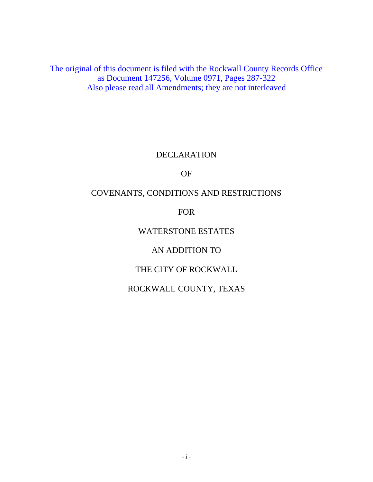The original of this document is filed with the Rockwall County Records Office as Document 147256, Volume 0971, Pages 287-322 Also please read all Amendments; they are not interleaved

#### DECLARATION

#### OF

### COVENANTS, CONDITIONS AND RESTRICTIONS

### FOR

### WATERSTONE ESTATES

## AN ADDITION TO

# THE CITY OF ROCKWALL

## ROCKWALL COUNTY, TEXAS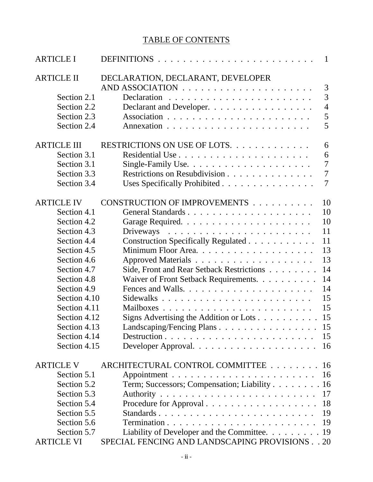# TABLE OF CONTENTS

| <b>ARTICLE I</b>   |                                                                   | $\mathbf{1}$   |
|--------------------|-------------------------------------------------------------------|----------------|
| <b>ARTICLE II</b>  | DECLARATION, DECLARANT, DEVELOPER                                 |                |
|                    |                                                                   | 3              |
| Section 2.1        |                                                                   | $\overline{3}$ |
| Section 2.2        | Declarant and Developer.                                          | $\overline{4}$ |
| Section 2.3        |                                                                   | 5              |
| Section 2.4        |                                                                   | 5              |
| <b>ARTICLE III</b> | RESTRICTIONS ON USE OF LOTS.                                      | 6              |
| Section 3.1        |                                                                   | 6              |
| Section 3.1        |                                                                   | $\overline{7}$ |
| Section 3.3        | Restrictions on Resubdivision                                     | $\overline{7}$ |
| Section 3.4        | Uses Specifically Prohibited                                      | $\tau$         |
| <b>ARTICLE IV</b>  | CONSTRUCTION OF IMPROVEMENTS                                      | 10             |
| Section 4.1        |                                                                   | 10             |
| Section 4.2        |                                                                   | 10             |
| Section 4.3        | Driveways $\dots \dots \dots \dots \dots \dots \dots \dots \dots$ | 11             |
| Section 4.4        | Construction Specifically Regulated                               | 11             |
| Section 4.5        |                                                                   | 13             |
| Section 4.6        |                                                                   | 13             |
| Section 4.7        | Side, Front and Rear Setback Restrictions                         | 14             |
| Section 4.8        | Waiver of Front Setback Requirements.                             | 14             |
| Section 4.9        |                                                                   | 14             |
| Section 4.10       |                                                                   | 15             |
| Section 4.11       |                                                                   | 15             |
| Section 4.12       | Signs Advertising the Addition or Lots $\dots \dots \dots$        | 15             |
| Section 4.13       | Landscaping/Fencing Plans                                         | 15             |
| Section 4.14       |                                                                   |                |
| Section 4.15       |                                                                   | 16             |
| <b>ARTICLE V</b>   | ARCHITECTURAL CONTROL COMMITTEE                                   | -16            |
| Section 5.1        |                                                                   | 16             |
| Section 5.2        | Term; Successors; Compensation; Liability 16                      |                |
| Section 5.3        |                                                                   | 17             |
| Section 5.4        | Procedure for Approval                                            | 18             |
| Section 5.5        | Standards                                                         | 19             |
| Section 5.6        |                                                                   | 19             |
| Section 5.7        | Liability of Developer and the Committee. 19                      |                |
| <b>ARTICLE VI</b>  | SPECIAL FENCING AND LANDSCAPING PROVISIONS 20                     |                |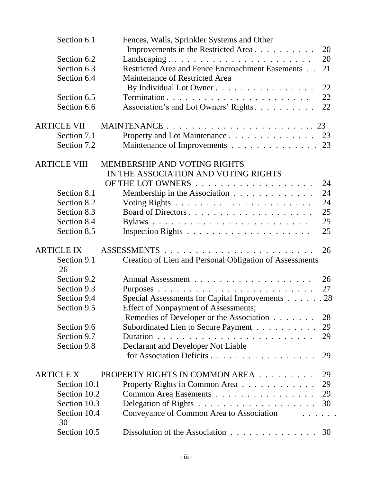| Section 6.1         | Fences, Walls, Sprinkler Systems and Other                             |    |
|---------------------|------------------------------------------------------------------------|----|
|                     | Improvements in the Restricted Area                                    | 20 |
| Section 6.2         | Landscaping                                                            | 20 |
| Section 6.3         | Restricted Area and Fence Encroachment Easements                       | 21 |
| Section 6.4         | Maintenance of Restricted Area                                         |    |
|                     | By Individual Lot Owner                                                | 22 |
| Section 6.5         |                                                                        | 22 |
| Section 6.6         | Association's and Lot Owners' Rights.                                  | 22 |
| <b>ARTICLE VII</b>  |                                                                        |    |
| Section 7.1         | Property and Lot Maintenance 23                                        |    |
| Section 7.2         | Maintenance of Improvements 23                                         |    |
| <b>ARTICLE VIII</b> | <b>MEMBERSHIP AND VOTING RIGHTS</b>                                    |    |
|                     | IN THE ASSOCIATION AND VOTING RIGHTS                                   |    |
|                     |                                                                        | 24 |
| Section 8.1         | Membership in the Association                                          | 24 |
| Section 8.2         |                                                                        | 24 |
| Section 8.3         |                                                                        | 25 |
| Section 8.4         |                                                                        | 25 |
| Section 8.5         |                                                                        | 25 |
| <b>ARTICLE IX</b>   |                                                                        | 26 |
| Section 9.1         | Creation of Lien and Personal Obligation of Assessments                |    |
| 26                  |                                                                        |    |
| Section 9.2         |                                                                        | 26 |
| Section 9.3         |                                                                        | 27 |
| Section 9.4         | Special Assessments for Capital Improvements 28                        |    |
| Section 9.5         | Effect of Nonpayment of Assessments;                                   |    |
|                     | Remedies of Developer or the Association                               | 28 |
| Section 9.6         | Subordinated Lien to Secure Payment                                    | 29 |
| Section 9.7         |                                                                        | 29 |
| Section 9.8         | Declarant and Developer Not Liable                                     |    |
|                     | for Association Deficits                                               | 29 |
| <b>ARTICLE X</b>    | PROPERTY RIGHTS IN COMMON AREA                                         | 29 |
| Section 10.1        | Property Rights in Common Area                                         | 29 |
| Section 10.2        | Common Area Easements                                                  | 29 |
| Section 10.3        |                                                                        | 30 |
| Section 10.4<br>30  | Conveyance of Common Area to Association<br>.                          |    |
| Section 10.5        | Dissolution of the Association $\ldots \ldots \ldots \ldots \ldots$ 30 |    |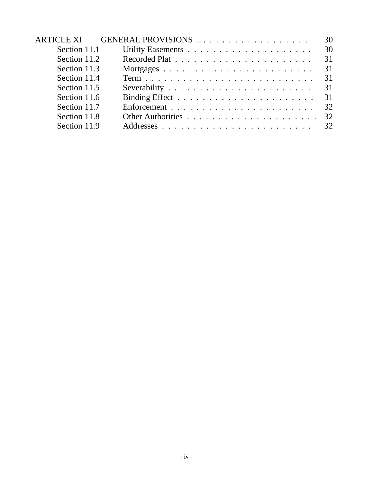|              | ARTICLE XI GENERAL PROVISIONS | 30 |
|--------------|-------------------------------|----|
| Section 11.1 |                               | 30 |
| Section 11.2 |                               | 31 |
| Section 11.3 |                               | 31 |
| Section 11.4 |                               | 31 |
| Section 11.5 |                               | 31 |
| Section 11.6 |                               |    |
| Section 11.7 |                               |    |
| Section 11.8 |                               | 32 |
| Section 11.9 |                               |    |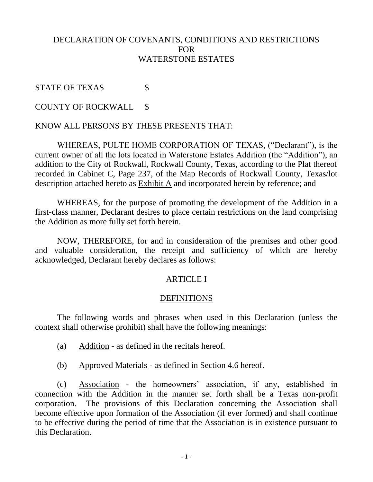### DECLARATION OF COVENANTS, CONDITIONS AND RESTRICTIONS FOR WATERSTONE ESTATES

### STATE OF TEXAS \$

### COUNTY OF ROCKWALL \$

### KNOW ALL PERSONS BY THESE PRESENTS THAT:

WHEREAS, PULTE HOME CORPORATION OF TEXAS, ("Declarant"), is the current owner of all the lots located in Waterstone Estates Addition (the "Addition"), an addition to the City of Rockwall, Rockwall County, Texas, according to the Plat thereof recorded in Cabinet C, Page 237, of the Map Records of Rockwall County, Texas/lot description attached hereto as Exhibit A and incorporated herein by reference; and

WHEREAS, for the purpose of promoting the development of the Addition in a first-class manner, Declarant desires to place certain restrictions on the land comprising the Addition as more fully set forth herein.

NOW, THEREFORE, for and in consideration of the premises and other good and valuable consideration, the receipt and sufficiency of which are hereby acknowledged, Declarant hereby declares as follows:

#### ARTICLE I

#### **DEFINITIONS**

The following words and phrases when used in this Declaration (unless the context shall otherwise prohibit) shall have the following meanings:

- (a) Addition as defined in the recitals hereof.
- (b) Approved Materials as defined in Section 4.6 hereof.

(c) Association - the homeowners' association, if any, established in connection with the Addition in the manner set forth shall be a Texas non-profit corporation. The provisions of this Declaration concerning the Association shall become effective upon formation of the Association (if ever formed) and shall continue to be effective during the period of time that the Association is in existence pursuant to this Declaration.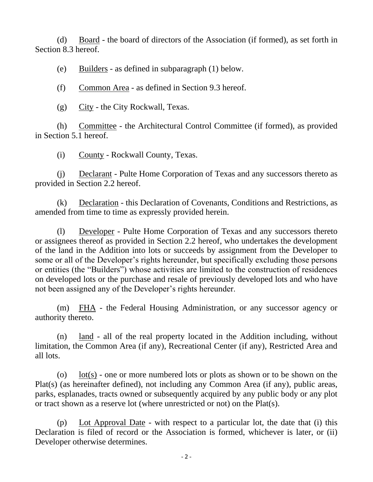(d) Board - the board of directors of the Association (if formed), as set forth in Section 8.3 hereof.

(e) Builders - as defined in subparagraph (1) below.

(f) Common Area - as defined in Section 9.3 hereof.

(g) City - the City Rockwall, Texas.

(h) Committee - the Architectural Control Committee (if formed), as provided in Section 5.1 hereof.

(i) County - Rockwall County, Texas.

(j) Declarant - Pulte Home Corporation of Texas and any successors thereto as provided in Section 2.2 hereof.

(k) Declaration - this Declaration of Covenants, Conditions and Restrictions, as amended from time to time as expressly provided herein.

(l) Developer - Pulte Home Corporation of Texas and any successors thereto or assignees thereof as provided in Section 2.2 hereof, who undertakes the development of the land in the Addition into lots or succeeds by assignment from the Developer to some or all of the Developer's rights hereunder, but specifically excluding those persons or entities (the "Builders") whose activities are limited to the construction of residences on developed lots or the purchase and resale of previously developed lots and who have not been assigned any of the Developer's rights hereunder.

(m) FHA - the Federal Housing Administration, or any successor agency or authority thereto.

(n) land - all of the real property located in the Addition including, without limitation, the Common Area (if any), Recreational Center (if any), Restricted Area and all lots.

(o) lot(s) - one or more numbered lots or plots as shown or to be shown on the Plat(s) (as hereinafter defined), not including any Common Area (if any), public areas, parks, esplanades, tracts owned or subsequently acquired by any public body or any plot or tract shown as a reserve lot (where unrestricted or not) on the Plat(s).

(p) Lot Approval Date - with respect to a particular lot, the date that (i) this Declaration is filed of record or the Association is formed, whichever is later, or (ii) Developer otherwise determines.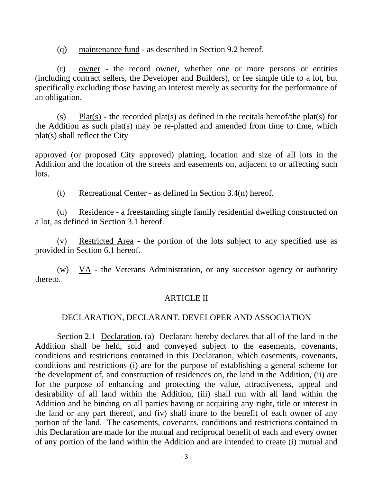(q) maintenance fund - as described in Section 9.2 hereof.

(r) owner - the record owner, whether one or more persons or entities (including contract sellers, the Developer and Builders), or fee simple title to a lot, but specifically excluding those having an interest merely as security for the performance of an obligation.

(s) Plat(s) - the recorded plat(s) as defined in the recitals hereof/the plat(s) for the Addition as such plat(s) may be re-platted and amended from time to time, which plat(s) shall reflect the City

approved (or proposed City approved) platting, location and size of all lots in the Addition and the location of the streets and easements on, adjacent to or affecting such lots.

(t) Recreational Center - as defined in Section 3.4(n) hereof.

(u) Residence - a freestanding single family residential dwelling constructed on a lot, as defined in Section 3.1 hereof.

(v) Restricted Area - the portion of the lots subject to any specified use as provided in Section 6.1 hereof.

(w)  $\overline{VA}$  - the Veterans Administration, or any successor agency or authority thereto.

#### ARTICLE II

### DECLARATION, DECLARANT, DEVELOPER AND ASSOCIATION

Section 2.1 Declaration. (a) Declarant hereby declares that all of the land in the Addition shall be held, sold and conveyed subject to the easements, covenants, conditions and restrictions contained in this Declaration, which easements, covenants, conditions and restrictions (i) are for the purpose of establishing a general scheme for the development of, and construction of residences on, the land in the Addition, (ii) are for the purpose of enhancing and protecting the value, attractiveness, appeal and desirability of all land within the Addition, (iii) shall run with all land within the Addition and be binding on all parties having or acquiring any right, title or interest in the land or any part thereof, and (iv) shall inure to the benefit of each owner of any portion of the land. The easements, covenants, conditions and restrictions contained in this Declaration are made for the mutual and reciprocal benefit of each and every owner of any portion of the land within the Addition and are intended to create (i) mutual and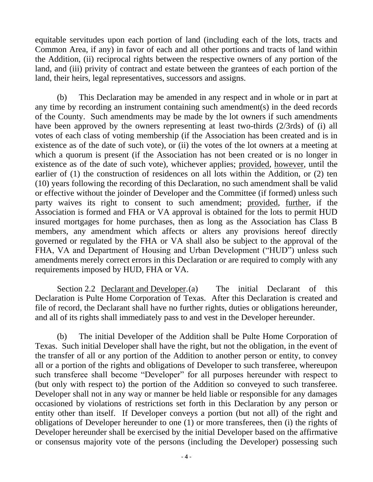equitable servitudes upon each portion of land (including each of the lots, tracts and Common Area, if any) in favor of each and all other portions and tracts of land within the Addition, (ii) reciprocal rights between the respective owners of any portion of the land, and (iii) privity of contract and estate between the grantees of each portion of the land, their heirs, legal representatives, successors and assigns.

(b) This Declaration may be amended in any respect and in whole or in part at any time by recording an instrument containing such amendment(s) in the deed records of the County. Such amendments may be made by the lot owners if such amendments have been approved by the owners representing at least two-thirds (2/3rds) of (i) all votes of each class of voting membership (if the Association has been created and is in existence as of the date of such vote), or (ii) the votes of the lot owners at a meeting at which a quorum is present (if the Association has not been created or is no longer in existence as of the date of such vote), whichever applies; provided, however, until the earlier of (1) the construction of residences on all lots within the Addition, or (2) ten (10) years following the recording of this Declaration, no such amendment shall be valid or effective without the joinder of Developer and the Committee (if formed) unless such party waives its right to consent to such amendment; provided, further, if the Association is formed and FHA or VA approval is obtained for the lots to permit HUD insured mortgages for home purchases, then as long as the Association has Class B members, any amendment which affects or alters any provisions hereof directly governed or regulated by the FHA or VA shall also be subject to the approval of the FHA, VA and Department of Housing and Urban Development ("HUD") unless such amendments merely correct errors in this Declaration or are required to comply with any requirements imposed by HUD, FHA or VA.

Section 2.2 Declarant and Developer.(a) The initial Declarant of this Declaration is Pulte Home Corporation of Texas. After this Declaration is created and file of record, the Declarant shall have no further rights, duties or obligations hereunder, and all of its rights shall immediately pass to and vest in the Developer hereunder.

(b) The initial Developer of the Addition shall be Pulte Home Corporation of Texas. Such initial Developer shall have the right, but not the obligation, in the event of the transfer of all or any portion of the Addition to another person or entity, to convey all or a portion of the rights and obligations of Developer to such transferee, whereupon such transferee shall become "Developer" for all purposes hereunder with respect to (but only with respect to) the portion of the Addition so conveyed to such transferee. Developer shall not in any way or manner be held liable or responsible for any damages occasioned by violations of restrictions set forth in this Declaration by any person or entity other than itself. If Developer conveys a portion (but not all) of the right and obligations of Developer hereunder to one (1) or more transferees, then (i) the rights of Developer hereunder shall be exercised by the initial Developer based on the affirmative or consensus majority vote of the persons (including the Developer) possessing such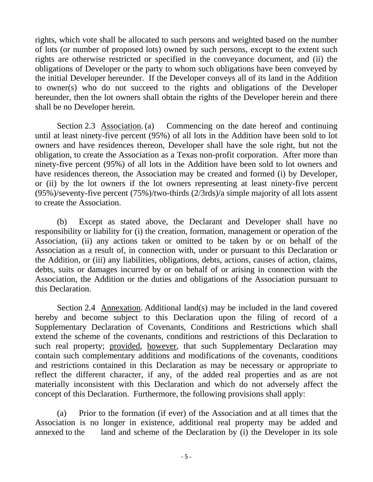rights, which vote shall be allocated to such persons and weighted based on the number of lots (or number of proposed lots) owned by such persons, except to the extent such rights are otherwise restricted or specified in the conveyance document, and (ii) the obligations of Developer or the party to whom such obligations have been conveyed by the initial Developer hereunder. If the Developer conveys all of its land in the Addition to owner(s) who do not succeed to the rights and obligations of the Developer hereunder, then the lot owners shall obtain the rights of the Developer herein and there shall be no Developer herein.

Section 2.3 Association. (a) Commencing on the date hereof and continuing until at least ninety-five percent (95%) of all lots in the Addition have been sold to lot owners and have residences thereon, Developer shall have the sole right, but not the obligation, to create the Association as a Texas non-profit corporation. After more than ninety-five percent (95%) of all lots in the Addition have been sold to lot owners and have residences thereon, the Association may be created and formed (i) by Developer, or (ii) by the lot owners if the lot owners representing at least ninety-five percent (95%)/seventy-five percent (75%)/two-thirds (2/3rds)/a simple majority of all lots assent to create the Association.

(b) Except as stated above, the Declarant and Developer shall have no responsibility or liability for (i) the creation, formation, management or operation of the Association, (ii) any actions taken or omitted to be taken by or on behalf of the Association as a result of, in connection with, under or pursuant to this Declaration or the Addition, or (iii) any liabilities, obligations, debts, actions, causes of action, claims, debts, suits or damages incurred by or on behalf of or arising in connection with the Association, the Addition or the duties and obligations of the Association pursuant to this Declaration.

Section 2.4 Annexation. Additional land(s) may be included in the land covered hereby and become subject to this Declaration upon the filing of record of a Supplementary Declaration of Covenants, Conditions and Restrictions which shall extend the scheme of the covenants, conditions and restrictions of this Declaration to such real property; provided, however, that such Supplementary Declaration may contain such complementary additions and modifications of the covenants, conditions and restrictions contained in this Declaration as may be necessary or appropriate to reflect the different character, if any, of the added real properties and as are not materially inconsistent with this Declaration and which do not adversely affect the concept of this Declaration. Furthermore, the following provisions shall apply:

(a) Prior to the formation (if ever) of the Association and at all times that the Association is no longer in existence, additional real property may be added and annexed to the land and scheme of the Declaration by (i) the Developer in its sole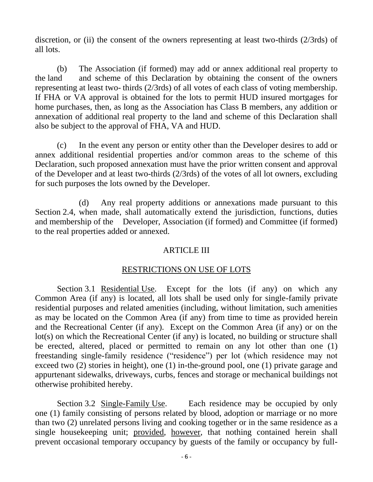discretion, or (ii) the consent of the owners representing at least two-thirds (2/3rds) of all lots.

(b) The Association (if formed) may add or annex additional real property to the land and scheme of this Declaration by obtaining the consent of the owners representing at least two- thirds (2/3rds) of all votes of each class of voting membership. If FHA or VA approval is obtained for the lots to permit HUD insured mortgages for home purchases, then, as long as the Association has Class B members, any addition or annexation of additional real property to the land and scheme of this Declaration shall also be subject to the approval of FHA, VA and HUD.

(c) In the event any person or entity other than the Developer desires to add or annex additional residential properties and/or common areas to the scheme of this Declaration, such proposed annexation must have the prior written consent and approval of the Developer and at least two-thirds (2/3rds) of the votes of all lot owners, excluding for such purposes the lots owned by the Developer.

(d) Any real property additions or annexations made pursuant to this Section 2.4, when made, shall automatically extend the jurisdiction, functions, duties and membership of the Developer, Association (if formed) and Committee (if formed) to the real properties added or annexed.

### ARTICLE III

### RESTRICTIONS ON USE OF LOTS

Section 3.1 Residential Use. Except for the lots (if any) on which any Common Area (if any) is located, all lots shall be used only for single-family private residential purposes and related amenities (including, without limitation, such amenities as may be located on the Common Area (if any) from time to time as provided herein and the Recreational Center (if any). Except on the Common Area (if any) or on the lot(s) on which the Recreational Center (if any) is located, no building or structure shall be erected, altered, placed or permitted to remain on any lot other than one (1) freestanding single-family residence ("residence") per lot (which residence may not exceed two (2) stories in height), one (1) in-the-ground pool, one (1) private garage and appurtenant sidewalks, driveways, curbs, fences and storage or mechanical buildings not otherwise prohibited hereby.

Section 3.2 Single-Family Use. Each residence may be occupied by only one (1) family consisting of persons related by blood, adoption or marriage or no more than two (2) unrelated persons living and cooking together or in the same residence as a single housekeeping unit; provided, however, that nothing contained herein shall prevent occasional temporary occupancy by guests of the family or occupancy by full-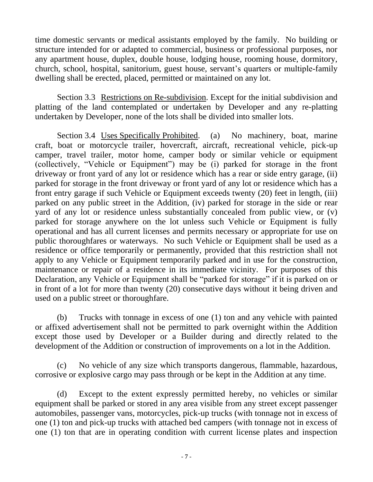time domestic servants or medical assistants employed by the family. No building or structure intended for or adapted to commercial, business or professional purposes, nor any apartment house, duplex, double house, lodging house, rooming house, dormitory, church, school, hospital, sanitorium, guest house, servant's quarters or multiple-family dwelling shall be erected, placed, permitted or maintained on any lot.

Section 3.3 Restrictions on Re-subdivision. Except for the initial subdivision and platting of the land contemplated or undertaken by Developer and any re-platting undertaken by Developer, none of the lots shall be divided into smaller lots.

Section 3.4 Uses Specifically Prohibited. (a) No machinery, boat, marine craft, boat or motorcycle trailer, hovercraft, aircraft, recreational vehicle, pick-up camper, travel trailer, motor home, camper body or similar vehicle or equipment (collectively, "Vehicle or Equipment") may be (i) parked for storage in the front driveway or front yard of any lot or residence which has a rear or side entry garage, (ii) parked for storage in the front driveway or front yard of any lot or residence which has a front entry garage if such Vehicle or Equipment exceeds twenty (20) feet in length, (iii) parked on any public street in the Addition, (iv) parked for storage in the side or rear yard of any lot or residence unless substantially concealed from public view, or (v) parked for storage anywhere on the lot unless such Vehicle or Equipment is fully operational and has all current licenses and permits necessary or appropriate for use on public thoroughfares or waterways. No such Vehicle or Equipment shall be used as a residence or office temporarily or permanently, provided that this restriction shall not apply to any Vehicle or Equipment temporarily parked and in use for the construction, maintenance or repair of a residence in its immediate vicinity. For purposes of this Declaration, any Vehicle or Equipment shall be "parked for storage" if it is parked on or in front of a lot for more than twenty (20) consecutive days without it being driven and used on a public street or thoroughfare.

(b) Trucks with tonnage in excess of one (1) ton and any vehicle with painted or affixed advertisement shall not be permitted to park overnight within the Addition except those used by Developer or a Builder during and directly related to the development of the Addition or construction of improvements on a lot in the Addition.

(c) No vehicle of any size which transports dangerous, flammable, hazardous, corrosive or explosive cargo may pass through or be kept in the Addition at any time.

(d) Except to the extent expressly permitted hereby, no vehicles or similar equipment shall be parked or stored in any area visible from any street except passenger automobiles, passenger vans, motorcycles, pick-up trucks (with tonnage not in excess of one (1) ton and pick-up trucks with attached bed campers (with tonnage not in excess of one (1) ton that are in operating condition with current license plates and inspection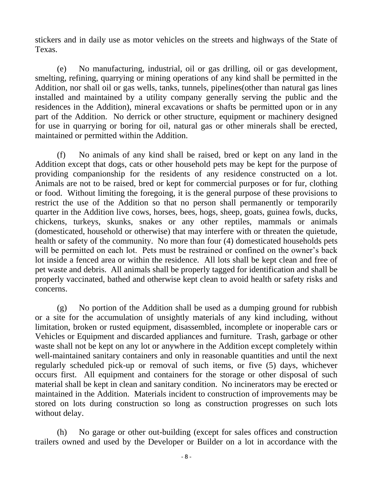stickers and in daily use as motor vehicles on the streets and highways of the State of Texas.

(e) No manufacturing, industrial, oil or gas drilling, oil or gas development, smelting, refining, quarrying or mining operations of any kind shall be permitted in the Addition, nor shall oil or gas wells, tanks, tunnels, pipelines(other than natural gas lines installed and maintained by a utility company generally serving the public and the residences in the Addition), mineral excavations or shafts be permitted upon or in any part of the Addition. No derrick or other structure, equipment or machinery designed for use in quarrying or boring for oil, natural gas or other minerals shall be erected, maintained or permitted within the Addition.

(f) No animals of any kind shall be raised, bred or kept on any land in the Addition except that dogs, cats or other household pets may be kept for the purpose of providing companionship for the residents of any residence constructed on a lot. Animals are not to be raised, bred or kept for commercial purposes or for fur, clothing or food. Without limiting the foregoing, it is the general purpose of these provisions to restrict the use of the Addition so that no person shall permanently or temporarily quarter in the Addition live cows, horses, bees, hogs, sheep, goats, guinea fowls, ducks, chickens, turkeys, skunks, snakes or any other reptiles, mammals or animals (domesticated, household or otherwise) that may interfere with or threaten the quietude, health or safety of the community. No more than four (4) domesticated households pets will be permitted on each lot. Pets must be restrained or confined on the owner's back lot inside a fenced area or within the residence. All lots shall be kept clean and free of pet waste and debris. All animals shall be properly tagged for identification and shall be properly vaccinated, bathed and otherwise kept clean to avoid health or safety risks and concerns.

(g) No portion of the Addition shall be used as a dumping ground for rubbish or a site for the accumulation of unsightly materials of any kind including, without limitation, broken or rusted equipment, disassembled, incomplete or inoperable cars or Vehicles or Equipment and discarded appliances and furniture. Trash, garbage or other waste shall not be kept on any lot or anywhere in the Addition except completely within well-maintained sanitary containers and only in reasonable quantities and until the next regularly scheduled pick-up or removal of such items, or five (5) days, whichever occurs first. All equipment and containers for the storage or other disposal of such material shall be kept in clean and sanitary condition. No incinerators may be erected or maintained in the Addition. Materials incident to construction of improvements may be stored on lots during construction so long as construction progresses on such lots without delay.

(h) No garage or other out-building (except for sales offices and construction trailers owned and used by the Developer or Builder on a lot in accordance with the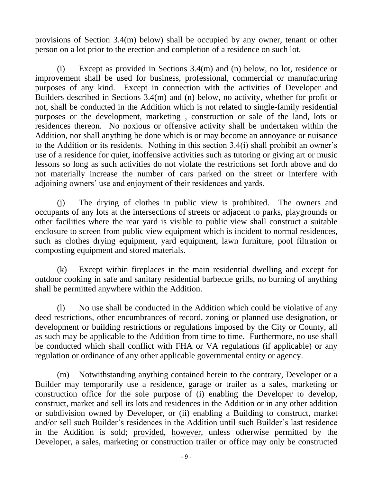provisions of Section 3.4(m) below) shall be occupied by any owner, tenant or other person on a lot prior to the erection and completion of a residence on such lot.

(i) Except as provided in Sections 3.4(m) and (n) below, no lot, residence or improvement shall be used for business, professional, commercial or manufacturing purposes of any kind. Except in connection with the activities of Developer and Builders described in Sections 3.4(m) and (n) below, no activity, whether for profit or not, shall be conducted in the Addition which is not related to single-family residential purposes or the development, marketing , construction or sale of the land, lots or residences thereon. No noxious or offensive activity shall be undertaken within the Addition, nor shall anything be done which is or may become an annoyance or nuisance to the Addition or its residents. Nothing in this section 3.4(i) shall prohibit an owner's use of a residence for quiet, inoffensive activities such as tutoring or giving art or music lessons so long as such activities do not violate the restrictions set forth above and do not materially increase the number of cars parked on the street or interfere with adjoining owners' use and enjoyment of their residences and yards.

(j) The drying of clothes in public view is prohibited. The owners and occupants of any lots at the intersections of streets or adjacent to parks, playgrounds or other facilities where the rear yard is visible to public view shall construct a suitable enclosure to screen from public view equipment which is incident to normal residences, such as clothes drying equipment, yard equipment, lawn furniture, pool filtration or composting equipment and stored materials.

(k) Except within fireplaces in the main residential dwelling and except for outdoor cooking in safe and sanitary residential barbecue grills, no burning of anything shall be permitted anywhere within the Addition.

(l) No use shall be conducted in the Addition which could be violative of any deed restrictions, other encumbrances of record, zoning or planned use designation, or development or building restrictions or regulations imposed by the City or County, all as such may be applicable to the Addition from time to time. Furthermore, no use shall be conducted which shall conflict with FHA or VA regulations (if applicable) or any regulation or ordinance of any other applicable governmental entity or agency.

(m) Notwithstanding anything contained herein to the contrary, Developer or a Builder may temporarily use a residence, garage or trailer as a sales, marketing or construction office for the sole purpose of (i) enabling the Developer to develop, construct, market and sell its lots and residences in the Addition or in any other addition or subdivision owned by Developer, or (ii) enabling a Building to construct, market and/or sell such Builder's residences in the Addition until such Builder's last residence in the Addition is sold; provided, however, unless otherwise permitted by the Developer, a sales, marketing or construction trailer or office may only be constructed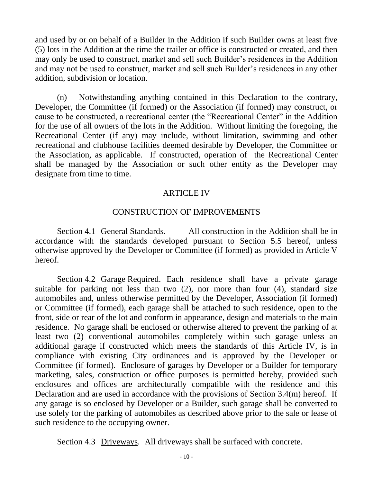and used by or on behalf of a Builder in the Addition if such Builder owns at least five (5) lots in the Addition at the time the trailer or office is constructed or created, and then may only be used to construct, market and sell such Builder's residences in the Addition and may not be used to construct, market and sell such Builder's residences in any other addition, subdivision or location.

(n) Notwithstanding anything contained in this Declaration to the contrary, Developer, the Committee (if formed) or the Association (if formed) may construct, or cause to be constructed, a recreational center (the "Recreational Center" in the Addition for the use of all owners of the lots in the Addition. Without limiting the foregoing, the Recreational Center (if any) may include, without limitation, swimming and other recreational and clubhouse facilities deemed desirable by Developer, the Committee or the Association, as applicable. If constructed, operation of the Recreational Center shall be managed by the Association or such other entity as the Developer may designate from time to time.

### ARTICLE IV

### CONSTRUCTION OF IMPROVEMENTS

Section 4.1 General Standards. All construction in the Addition shall be in accordance with the standards developed pursuant to Section 5.5 hereof, unless otherwise approved by the Developer or Committee (if formed) as provided in Article V hereof.

Section 4.2 Garage Required. Each residence shall have a private garage suitable for parking not less than two (2), nor more than four (4), standard size automobiles and, unless otherwise permitted by the Developer, Association (if formed) or Committee (if formed), each garage shall be attached to such residence, open to the front, side or rear of the lot and conform in appearance, design and materials to the main residence. No garage shall be enclosed or otherwise altered to prevent the parking of at least two (2) conventional automobiles completely within such garage unless an additional garage if constructed which meets the standards of this Article IV, is in compliance with existing City ordinances and is approved by the Developer or Committee (if formed). Enclosure of garages by Developer or a Builder for temporary marketing, sales, construction or office purposes is permitted hereby, provided such enclosures and offices are architecturally compatible with the residence and this Declaration and are used in accordance with the provisions of Section 3.4(m) hereof. If any garage is so enclosed by Developer or a Builder, such garage shall be converted to use solely for the parking of automobiles as described above prior to the sale or lease of such residence to the occupying owner.

Section 4.3 Driveways. All driveways shall be surfaced with concrete.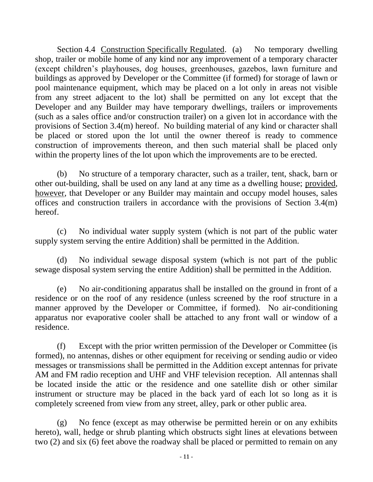Section 4.4 Construction Specifically Regulated. (a) No temporary dwelling shop, trailer or mobile home of any kind nor any improvement of a temporary character (except children's playhouses, dog houses, greenhouses, gazebos, lawn furniture and buildings as approved by Developer or the Committee (if formed) for storage of lawn or pool maintenance equipment, which may be placed on a lot only in areas not visible from any street adjacent to the lot) shall be permitted on any lot except that the Developer and any Builder may have temporary dwellings, trailers or improvements (such as a sales office and/or construction trailer) on a given lot in accordance with the provisions of Section 3.4(m) hereof. No building material of any kind or character shall be placed or stored upon the lot until the owner thereof is ready to commence construction of improvements thereon, and then such material shall be placed only within the property lines of the lot upon which the improvements are to be erected.

(b) No structure of a temporary character, such as a trailer, tent, shack, barn or other out-building, shall be used on any land at any time as a dwelling house; provided, however, that Developer or any Builder may maintain and occupy model houses, sales offices and construction trailers in accordance with the provisions of Section 3.4(m) hereof.

(c) No individual water supply system (which is not part of the public water supply system serving the entire Addition) shall be permitted in the Addition.

(d) No individual sewage disposal system (which is not part of the public sewage disposal system serving the entire Addition) shall be permitted in the Addition.

(e) No air-conditioning apparatus shall be installed on the ground in front of a residence or on the roof of any residence (unless screened by the roof structure in a manner approved by the Developer or Committee, if formed). No air-conditioning apparatus nor evaporative cooler shall be attached to any front wall or window of a residence.

(f) Except with the prior written permission of the Developer or Committee (is formed), no antennas, dishes or other equipment for receiving or sending audio or video messages or transmissions shall be permitted in the Addition except antennas for private AM and FM radio reception and UHF and VHF television reception. All antennas shall be located inside the attic or the residence and one satellite dish or other similar instrument or structure may be placed in the back yard of each lot so long as it is completely screened from view from any street, alley, park or other public area.

(g) No fence (except as may otherwise be permitted herein or on any exhibits hereto), wall, hedge or shrub planting which obstructs sight lines at elevations between two (2) and six (6) feet above the roadway shall be placed or permitted to remain on any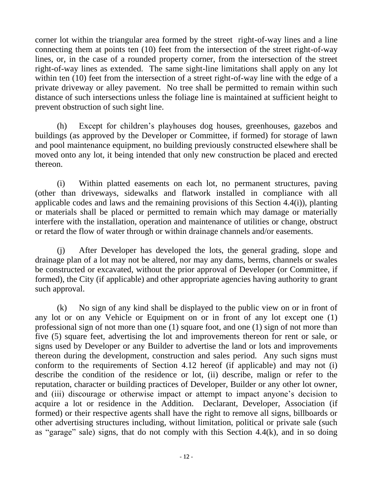corner lot within the triangular area formed by the street right-of-way lines and a line connecting them at points ten (10) feet from the intersection of the street right-of-way lines, or, in the case of a rounded property corner, from the intersection of the street right-of-way lines as extended. The same sight-line limitations shall apply on any lot within ten (10) feet from the intersection of a street right-of-way line with the edge of a private driveway or alley pavement. No tree shall be permitted to remain within such distance of such intersections unless the foliage line is maintained at sufficient height to prevent obstruction of such sight line.

(h) Except for children's playhouses dog houses, greenhouses, gazebos and buildings (as approved by the Developer or Committee, if formed) for storage of lawn and pool maintenance equipment, no building previously constructed elsewhere shall be moved onto any lot, it being intended that only new construction be placed and erected thereon.

(i) Within platted easements on each lot, no permanent structures, paving (other than driveways, sidewalks and flatwork installed in compliance with all applicable codes and laws and the remaining provisions of this Section 4.4(i)), planting or materials shall be placed or permitted to remain which may damage or materially interfere with the installation, operation and maintenance of utilities or change, obstruct or retard the flow of water through or within drainage channels and/or easements.

(j) After Developer has developed the lots, the general grading, slope and drainage plan of a lot may not be altered, nor may any dams, berms, channels or swales be constructed or excavated, without the prior approval of Developer (or Committee, if formed), the City (if applicable) and other appropriate agencies having authority to grant such approval.

(k) No sign of any kind shall be displayed to the public view on or in front of any lot or on any Vehicle or Equipment on or in front of any lot except one (1) professional sign of not more than one (1) square foot, and one (1) sign of not more than five (5) square feet, advertising the lot and improvements thereon for rent or sale, or signs used by Developer or any Builder to advertise the land or lots and improvements thereon during the development, construction and sales period. Any such signs must conform to the requirements of Section 4.12 hereof (if applicable) and may not (i) describe the condition of the residence or lot, (ii) describe, malign or refer to the reputation, character or building practices of Developer, Builder or any other lot owner, and (iii) discourage or otherwise impact or attempt to impact anyone's decision to acquire a lot or residence in the Addition. Declarant, Developer, Association (if formed) or their respective agents shall have the right to remove all signs, billboards or other advertising structures including, without limitation, political or private sale (such as "garage" sale) signs, that do not comply with this Section 4.4(k), and in so doing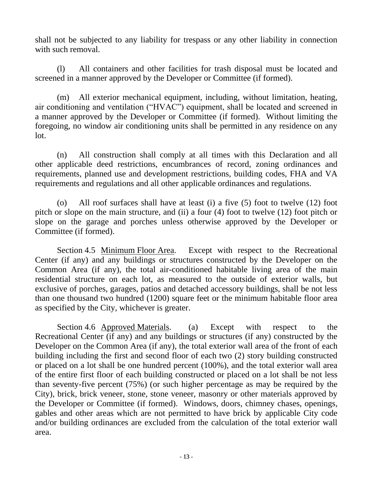shall not be subjected to any liability for trespass or any other liability in connection with such removal.

(l) All containers and other facilities for trash disposal must be located and screened in a manner approved by the Developer or Committee (if formed).

(m) All exterior mechanical equipment, including, without limitation, heating, air conditioning and ventilation ("HVAC") equipment, shall be located and screened in a manner approved by the Developer or Committee (if formed). Without limiting the foregoing, no window air conditioning units shall be permitted in any residence on any lot.

(n) All construction shall comply at all times with this Declaration and all other applicable deed restrictions, encumbrances of record, zoning ordinances and requirements, planned use and development restrictions, building codes, FHA and VA requirements and regulations and all other applicable ordinances and regulations.

(o) All roof surfaces shall have at least (i) a five (5) foot to twelve (12) foot pitch or slope on the main structure, and (ii) a four (4) foot to twelve (12) foot pitch or slope on the garage and porches unless otherwise approved by the Developer or Committee (if formed).

Section 4.5 Minimum Floor Area. Except with respect to the Recreational Center (if any) and any buildings or structures constructed by the Developer on the Common Area (if any), the total air-conditioned habitable living area of the main residential structure on each lot, as measured to the outside of exterior walls, but exclusive of porches, garages, patios and detached accessory buildings, shall be not less than one thousand two hundred (1200) square feet or the minimum habitable floor area as specified by the City, whichever is greater.

Section 4.6 Approved Materials. (a) Except with respect to the Recreational Center (if any) and any buildings or structures (if any) constructed by the Developer on the Common Area (if any), the total exterior wall area of the front of each building including the first and second floor of each two (2) story building constructed or placed on a lot shall be one hundred percent (100%), and the total exterior wall area of the entire first floor of each building constructed or placed on a lot shall be not less than seventy-five percent (75%) (or such higher percentage as may be required by the City), brick, brick veneer, stone, stone veneer, masonry or other materials approved by the Developer or Committee (if formed). Windows, doors, chimney chases, openings, gables and other areas which are not permitted to have brick by applicable City code and/or building ordinances are excluded from the calculation of the total exterior wall area.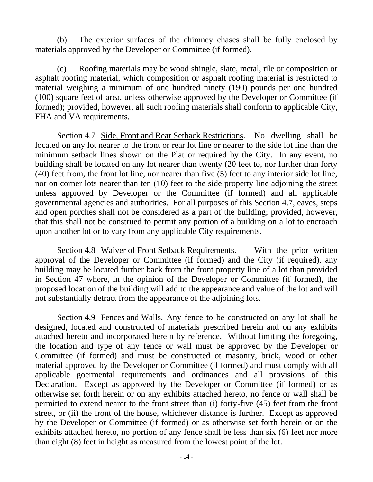(b) The exterior surfaces of the chimney chases shall be fully enclosed by materials approved by the Developer or Committee (if formed).

(c) Roofing materials may be wood shingle, slate, metal, tile or composition or asphalt roofing material, which composition or asphalt roofing material is restricted to material weighing a minimum of one hundred ninety (190) pounds per one hundred (100) square feet of area, unless otherwise approved by the Developer or Committee (if formed); provided, however, all such roofing materials shall conform to applicable City, FHA and VA requirements.

Section 4.7 Side, Front and Rear Setback Restrictions. No dwelling shall be located on any lot nearer to the front or rear lot line or nearer to the side lot line than the minimum setback lines shown on the Plat or required by the City. In any event, no building shall be located on any lot nearer than twenty (20 feet to, nor further than forty (40) feet from, the front lot line, nor nearer than five (5) feet to any interior side lot line, nor on corner lots nearer than ten (10) feet to the side property line adjoining the street unless approved by Developer or the Committee (if formed) and all applicable governmental agencies and authorities. For all purposes of this Section 4.7, eaves, steps and open porches shall not be considered as a part of the building; provided, however, that this shall not be construed to permit any portion of a building on a lot to encroach upon another lot or to vary from any applicable City requirements.

Section 4.8 Waiver of Front Setback Requirements. With the prior written approval of the Developer or Committee (if formed) and the City (if required), any building may be located further back from the front property line of a lot than provided in Section 47 where, in the opinion of the Developer or Committee (if formed), the proposed location of the building will add to the appearance and value of the lot and will not substantially detract from the appearance of the adjoining lots.

Section 4.9 Fences and Walls. Any fence to be constructed on any lot shall be designed, located and constructed of materials prescribed herein and on any exhibits attached hereto and incorporated herein by reference. Without limiting the foregoing, the location and type of any fence or wall must be approved by the Developer or Committee (if formed) and must be constructed ot masonry, brick, wood or other material approved by the Developer or Committee (if formed) and must comply with all applicable goermental requirements and ordinances and all provisions of this Declaration. Except as approved by the Developer or Committee (if formed) or as otherwise set forth herein or on any exhibits attached hereto, no fence or wall shall be permitted to extend nearer to the front street than (i) forty-five (45) feet from the front street, or (ii) the front of the house, whichever distance is further. Except as approved by the Developer or Committee (if formed) or as otherwise set forth herein or on the exhibits attached hereto, no portion of any fence shall be less than six (6) feet nor more than eight (8) feet in height as measured from the lowest point of the lot.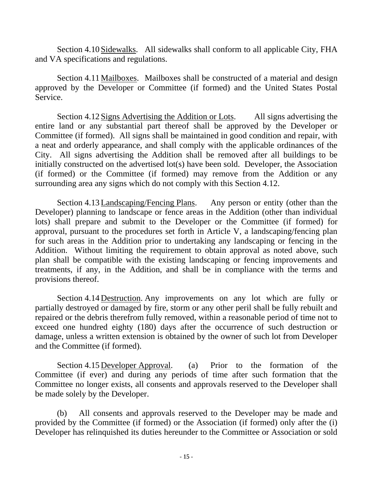Section 4.10 Sidewalks. All sidewalks shall conform to all applicable City, FHA and VA specifications and regulations.

Section 4.11 Mailboxes. Mailboxes shall be constructed of a material and design approved by the Developer or Committee (if formed) and the United States Postal Service.

Section 4.12 Signs Advertising the Addition or Lots. All signs advertising the entire land or any substantial part thereof shall be approved by the Developer or Committee (if formed). All signs shall be maintained in good condition and repair, with a neat and orderly appearance, and shall comply with the applicable ordinances of the City. All signs advertising the Addition shall be removed after all buildings to be initially constructed on the advertised lot(s) have been sold. Developer, the Association (if formed) or the Committee (if formed) may remove from the Addition or any surrounding area any signs which do not comply with this Section 4.12.

Section 4.13Landscaping/Fencing Plans. Any person or entity (other than the Developer) planning to landscape or fence areas in the Addition (other than individual lots) shall prepare and submit to the Developer or the Committee (if formed) for approval, pursuant to the procedures set forth in Article V, a landscaping/fencing plan for such areas in the Addition prior to undertaking any landscaping or fencing in the Addition. Without limiting the requirement to obtain approval as noted above, such plan shall be compatible with the existing landscaping or fencing improvements and treatments, if any, in the Addition, and shall be in compliance with the terms and provisions thereof.

Section 4.14 Destruction. Any improvements on any lot which are fully or partially destroyed or damaged by fire, storm or any other peril shall be fully rebuilt and repaired or the debris therefrom fully removed, within a reasonable period of time not to exceed one hundred eighty (180) days after the occurrence of such destruction or damage, unless a written extension is obtained by the owner of such lot from Developer and the Committee (if formed).

Section 4.15 Developer Approval. (a) Prior to the formation of the Committee (if ever) and during any periods of time after such formation that the Committee no longer exists, all consents and approvals reserved to the Developer shall be made solely by the Developer.

(b) All consents and approvals reserved to the Developer may be made and provided by the Committee (if formed) or the Association (if formed) only after the (i) Developer has relinquished its duties hereunder to the Committee or Association or sold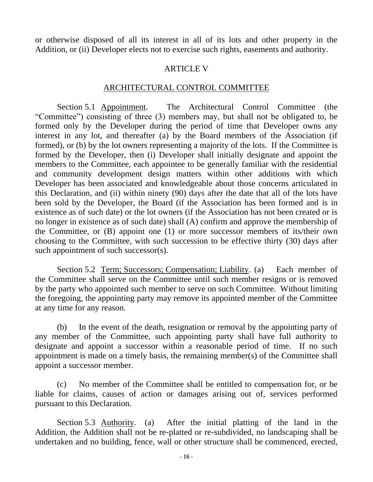or otherwise disposed of all its interest in all of its lots and other property in the Addition, or (ii) Developer elects not to exercise such rights, easements and authority.

#### ARTICLE V

#### ARCHITECTURAL CONTROL COMMITTEE

Section 5.1 Appointment. The Architectural Control Committee (the "Committee") consisting of three (3) members may, but shall not be obligated to, be formed only by the Developer during the period of time that Developer owns any interest in any lot, and thereafter (a) by the Board members of the Association (if formed), or (b) by the lot owners representing a majority of the lots. If the Committee is formed by the Developer, then (i) Developer shall initially designate and appoint the members to the Committee, each appointee to be generally familiar with the residential and community development design matters within other additions with which Developer has been associated and knowledgeable about those concerns articulated in this Declaration, and (ii) within ninety (90) days after the date that all of the lots have been sold by the Developer, the Board (if the Association has been formed and is in existence as of such date) or the lot owners (if the Association has not been created or is no longer in existence as of such date) shall (A) confirm and approve the membership of the Committee, or (B) appoint one (1) or more successor members of its/their own choosing to the Committee, with such succession to be effective thirty (30) days after such appointment of such successor(s).

Section 5.2 Term; Successors; Compensation; Liability. (a) Each member of the Committee shall serve on the Committee until such member resigns or is removed by the party who appointed such member to serve on such Committee. Without limiting the foregoing, the appointing party may remove its appointed member of the Committee at any time for any reason.

(b) In the event of the death, resignation or removal by the appointing party of any member of the Committee, such appointing party shall have full authority to designate and appoint a successor within a reasonable period of time. If no such appointment is made on a timely basis, the remaining member(s) of the Committee shall appoint a successor member.

(c) No member of the Committee shall be entitled to compensation for, or be liable for claims, causes of action or damages arising out of, services performed pursuant to this Declaration.

Section 5.3 Authority. (a) After the initial platting of the land in the Addition, the Addition shall not be re-platted or re-subdivided, no landscaping shall be undertaken and no building, fence, wall or other structure shall be commenced, erected,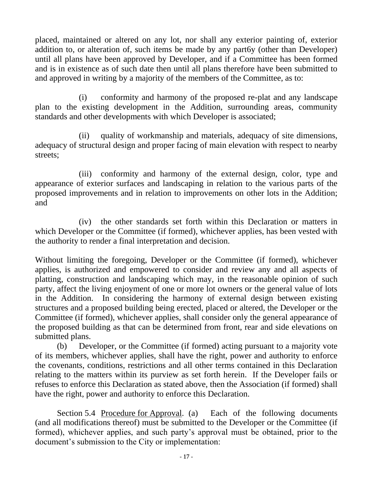placed, maintained or altered on any lot, nor shall any exterior painting of, exterior addition to, or alteration of, such items be made by any part6y (other than Developer) until all plans have been approved by Developer, and if a Committee has been formed and is in existence as of such date then until all plans therefore have been submitted to and approved in writing by a majority of the members of the Committee, as to:

(i) conformity and harmony of the proposed re-plat and any landscape plan to the existing development in the Addition, surrounding areas, community standards and other developments with which Developer is associated;

(ii) quality of workmanship and materials, adequacy of site dimensions, adequacy of structural design and proper facing of main elevation with respect to nearby streets;

(iii) conformity and harmony of the external design, color, type and appearance of exterior surfaces and landscaping in relation to the various parts of the proposed improvements and in relation to improvements on other lots in the Addition; and

(iv) the other standards set forth within this Declaration or matters in which Developer or the Committee (if formed), whichever applies, has been vested with the authority to render a final interpretation and decision.

Without limiting the foregoing, Developer or the Committee (if formed), whichever applies, is authorized and empowered to consider and review any and all aspects of platting, construction and landscaping which may, in the reasonable opinion of such party, affect the living enjoyment of one or more lot owners or the general value of lots in the Addition. In considering the harmony of external design between existing structures and a proposed building being erected, placed or altered, the Developer or the Committee (if formed), whichever applies, shall consider only the general appearance of the proposed building as that can be determined from front, rear and side elevations on submitted plans.

(b) Developer, or the Committee (if formed) acting pursuant to a majority vote of its members, whichever applies, shall have the right, power and authority to enforce the covenants, conditions, restrictions and all other terms contained in this Declaration relating to the matters within its purview as set forth herein. If the Developer fails or refuses to enforce this Declaration as stated above, then the Association (if formed) shall have the right, power and authority to enforce this Declaration.

Section 5.4 Procedure for Approval. (a) Each of the following documents (and all modifications thereof) must be submitted to the Developer or the Committee (if formed), whichever applies, and such party's approval must be obtained, prior to the document's submission to the City or implementation: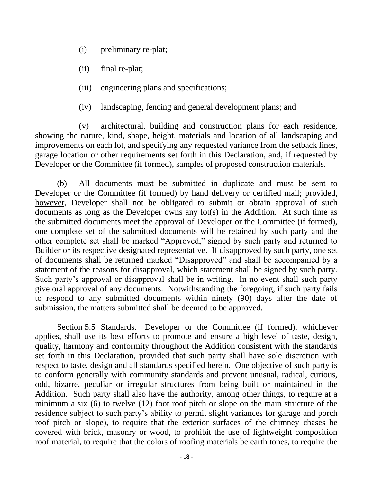- (i) preliminary re-plat;
- (ii) final re-plat;
- (iii) engineering plans and specifications;
- (iv) landscaping, fencing and general development plans; and

(v) architectural, building and construction plans for each residence, showing the nature, kind, shape, height, materials and location of all landscaping and improvements on each lot, and specifying any requested variance from the setback lines, garage location or other requirements set forth in this Declaration, and, if requested by Developer or the Committee (if formed), samples of proposed construction materials.

(b) All documents must be submitted in duplicate and must be sent to Developer or the Committee (if formed) by hand delivery or certified mail; provided, however, Developer shall not be obligated to submit or obtain approval of such documents as long as the Developer owns any lot(s) in the Addition. At such time as the submitted documents meet the approval of Developer or the Committee (if formed), one complete set of the submitted documents will be retained by such party and the other complete set shall be marked "Approved," signed by such party and returned to Builder or its respective designated representative. If disapproved by such party, one set of documents shall be returned marked "Disapproved" and shall be accompanied by a statement of the reasons for disapproval, which statement shall be signed by such party. Such party's approval or disapproval shall be in writing. In no event shall such party give oral approval of any documents. Notwithstanding the foregoing, if such party fails to respond to any submitted documents within ninety (90) days after the date of submission, the matters submitted shall be deemed to be approved.

Section 5.5 Standards. Developer or the Committee (if formed), whichever applies, shall use its best efforts to promote and ensure a high level of taste, design, quality, harmony and conformity throughout the Addition consistent with the standards set forth in this Declaration, provided that such party shall have sole discretion with respect to taste, design and all standards specified herein. One objective of such party is to conform generally with community standards and prevent unusual, radical, curious, odd, bizarre, peculiar or irregular structures from being built or maintained in the Addition. Such party shall also have the authority, among other things, to require at a minimum a six (6) to twelve (12) foot roof pitch or slope on the main structure of the residence subject to such party's ability to permit slight variances for garage and porch roof pitch or slope), to require that the exterior surfaces of the chimney chases be covered with brick, masonry or wood, to prohibit the use of lightweight composition roof material, to require that the colors of roofing materials be earth tones, to require the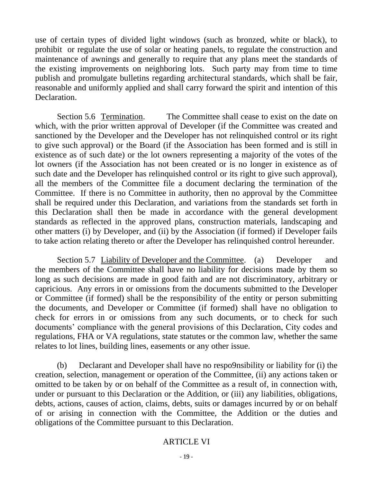use of certain types of divided light windows (such as bronzed, white or black), to prohibit or regulate the use of solar or heating panels, to regulate the construction and maintenance of awnings and generally to require that any plans meet the standards of the existing improvements on neighboring lots. Such party may from time to time publish and promulgate bulletins regarding architectural standards, which shall be fair, reasonable and uniformly applied and shall carry forward the spirit and intention of this Declaration.

Section 5.6 Termination. The Committee shall cease to exist on the date on which, with the prior written approval of Developer (if the Committee was created and sanctioned by the Developer and the Developer has not relinquished control or its right to give such approval) or the Board (if the Association has been formed and is still in existence as of such date) or the lot owners representing a majority of the votes of the lot owners (if the Association has not been created or is no longer in existence as of such date and the Developer has relinquished control or its right to give such approval), all the members of the Committee file a document declaring the termination of the Committee. If there is no Committee in authority, then no approval by the Committee shall be required under this Declaration, and variations from the standards set forth in this Declaration shall then be made in accordance with the general development standards as reflected in the approved plans, construction materials, landscaping and other matters (i) by Developer, and (ii) by the Association (if formed) if Developer fails to take action relating thereto or after the Developer has relinquished control hereunder.

Section 5.7 Liability of Developer and the Committee. (a) Developer and the members of the Committee shall have no liability for decisions made by them so long as such decisions are made in good faith and are not discriminatory, arbitrary or capricious. Any errors in or omissions from the documents submitted to the Developer or Committee (if formed) shall be the responsibility of the entity or person submitting the documents, and Developer or Committee (if formed) shall have no obligation to check for errors in or omissions from any such documents, or to check for such documents' compliance with the general provisions of this Declaration, City codes and regulations, FHA or VA regulations, state statutes or the common law, whether the same relates to lot lines, building lines, easements or any other issue.

(b) Declarant and Developer shall have no respo9nsibility or liability for (i) the creation, selection, management or operation of the Committee, (ii) any actions taken or omitted to be taken by or on behalf of the Committee as a result of, in connection with, under or pursuant to this Declaration or the Addition, or (iii) any liabilities, obligations, debts, actions, causes of action, claims, debts, suits or damages incurred by or on behalf of or arising in connection with the Committee, the Addition or the duties and obligations of the Committee pursuant to this Declaration.

#### ARTICLE VI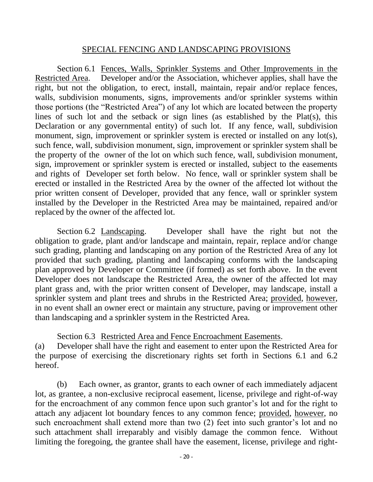### SPECIAL FENCING AND LANDSCAPING PROVISIONS

Section 6.1 Fences, Walls, Sprinkler Systems and Other Improvements in the Restricted Area. Developer and/or the Association, whichever applies, shall have the right, but not the obligation, to erect, install, maintain, repair and/or replace fences, walls, subdivision monuments, signs, improvements and/or sprinkler systems within those portions (the "Restricted Area") of any lot which are located between the property lines of such lot and the setback or sign lines (as established by the Plat(s), this Declaration or any governmental entity) of such lot. If any fence, wall, subdivision monument, sign, improvement or sprinkler system is erected or installed on any lot(s), such fence, wall, subdivision monument, sign, improvement or sprinkler system shall be the property of the owner of the lot on which such fence, wall, subdivision monument, sign, improvement or sprinkler system is erected or installed, subject to the easements and rights of Developer set forth below. No fence, wall or sprinkler system shall be erected or installed in the Restricted Area by the owner of the affected lot without the prior written consent of Developer, provided that any fence, wall or sprinkler system installed by the Developer in the Restricted Area may be maintained, repaired and/or replaced by the owner of the affected lot.

Section 6.2 Landscaping. Developer shall have the right but not the obligation to grade, plant and/or landscape and maintain, repair, replace and/or change such grading, planting and landscaping on any portion of the Restricted Area of any lot provided that such grading, planting and landscaping conforms with the landscaping plan approved by Developer or Committee (if formed) as set forth above. In the event Developer does not landscape the Restricted Area, the owner of the affected lot may plant grass and, with the prior written consent of Developer, may landscape, install a sprinkler system and plant trees and shrubs in the Restricted Area; provided, however, in no event shall an owner erect or maintain any structure, paving or improvement other than landscaping and a sprinkler system in the Restricted Area.

Section 6.3 Restricted Area and Fence Encroachment Easements. (a) Developer shall have the right and easement to enter upon the Restricted Area for the purpose of exercising the discretionary rights set forth in Sections 6.1 and 6.2 hereof.

(b) Each owner, as grantor, grants to each owner of each immediately adjacent lot, as grantee, a non-exclusive reciprocal easement, license, privilege and right-of-way for the encroachment of any common fence upon such grantor's lot and for the right to attach any adjacent lot boundary fences to any common fence; provided, however, no such encroachment shall extend more than two (2) feet into such grantor's lot and no such attachment shall irreparably and visibly damage the common fence. Without limiting the foregoing, the grantee shall have the easement, license, privilege and right-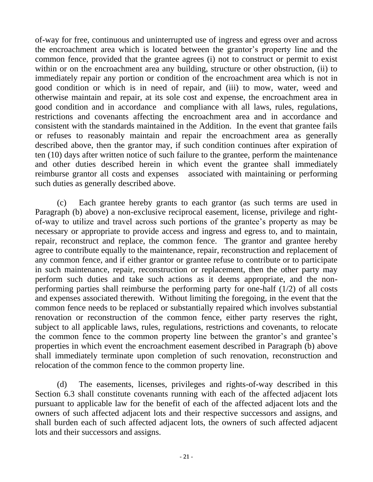of-way for free, continuous and uninterrupted use of ingress and egress over and across the encroachment area which is located between the grantor's property line and the common fence, provided that the grantee agrees (i) not to construct or permit to exist within or on the encroachment area any building, structure or other obstruction, (ii) to immediately repair any portion or condition of the encroachment area which is not in good condition or which is in need of repair, and (iii) to mow, water, weed and otherwise maintain and repair, at its sole cost and expense, the encroachment area in good condition and in accordance and compliance with all laws, rules, regulations, restrictions and covenants affecting the encroachment area and in accordance and consistent with the standards maintained in the Addition. In the event that grantee fails or refuses to reasonably maintain and repair the encroachment area as generally described above, then the grantor may, if such condition continues after expiration of ten (10) days after written notice of such failure to the grantee, perform the maintenance and other duties described herein in which event the grantee shall immediately reimburse grantor all costs and expenses associated with maintaining or performing such duties as generally described above.

(c) Each grantee hereby grants to each grantor (as such terms are used in Paragraph (b) above) a non-exclusive reciprocal easement, license, privilege and rightof-way to utilize and travel across such portions of the grantee's property as may be necessary or appropriate to provide access and ingress and egress to, and to maintain, repair, reconstruct and replace, the common fence. The grantor and grantee hereby agree to contribute equally to the maintenance, repair, reconstruction and replacement of any common fence, and if either grantor or grantee refuse to contribute or to participate in such maintenance, repair, reconstruction or replacement, then the other party may perform such duties and take such actions as it deems appropriate, and the nonperforming parties shall reimburse the performing party for one-half (1/2) of all costs and expenses associated therewith. Without limiting the foregoing, in the event that the common fence needs to be replaced or substantially repaired which involves substantial renovation or reconstruction of the common fence, either party reserves the right, subject to all applicable laws, rules, regulations, restrictions and covenants, to relocate the common fence to the common property line between the grantor's and grantee's properties in which event the encroachment easement described in Paragraph (b) above shall immediately terminate upon completion of such renovation, reconstruction and relocation of the common fence to the common property line.

(d) The easements, licenses, privileges and rights-of-way described in this Section 6.3 shall constitute covenants running with each of the affected adjacent lots pursuant to applicable law for the benefit of each of the affected adjacent lots and the owners of such affected adjacent lots and their respective successors and assigns, and shall burden each of such affected adjacent lots, the owners of such affected adjacent lots and their successors and assigns.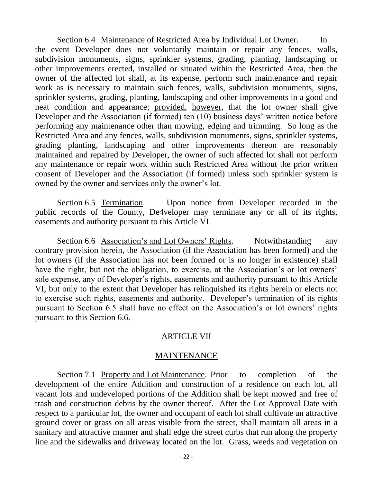Section 6.4 Maintenance of Restricted Area by Individual Lot Owner. In the event Developer does not voluntarily maintain or repair any fences, walls, subdivision monuments, signs, sprinkler systems, grading, planting, landscaping or other improvements erected, installed or situated within the Restricted Area, then the owner of the affected lot shall, at its expense, perform such maintenance and repair work as is necessary to maintain such fences, walls, subdivision monuments, signs, sprinkler systems, grading, planting, landscaping and other improvements in a good and neat condition and appearance; provided, however, that the lot owner shall give Developer and the Association (if formed) ten (10) business days' written notice before performing any maintenance other than mowing, edging and trimming. So long as the Restricted Area and any fences, walls, subdivision monuments, signs, sprinkler systems, grading planting, landscaping and other improvements thereon are reasonably maintained and repaired by Developer, the owner of such affected lot shall not perform any maintenance or repair work within such Restricted Area without the prior written consent of Developer and the Association (if formed) unless such sprinkler system is owned by the owner and services only the owner's lot.

Section 6.5 Termination. Upon notice from Developer recorded in the public records of the County, De4veloper may terminate any or all of its rights, easements and authority pursuant to this Article VI.

Section 6.6 Association's and Lot Owners' Rights. Notwithstanding any contrary provision herein, the Association (if the Association has been formed) and the lot owners (if the Association has not been formed or is no longer in existence) shall have the right, but not the obligation, to exercise, at the Association's or lot owners' sole expense, any of Developer's rights, easements and authority pursuant to this Article VI, but only to the extent that Developer has relinquished its rights herein or elects not to exercise such rights, easements and authority. Developer's termination of its rights pursuant to Section 6.5 shall have no effect on the Association's or lot owners' rights pursuant to this Section 6.6.

#### ARTICLE VII

#### MAINTENANCE

Section 7.1 Property and Lot Maintenance. Prior to completion of the development of the entire Addition and construction of a residence on each lot, all vacant lots and undeveloped portions of the Addition shall be kept mowed and free of trash and construction debris by the owner thereof. After the Lot Approval Date with respect to a particular lot, the owner and occupant of each lot shall cultivate an attractive ground cover or grass on all areas visible from the street, shall maintain all areas in a sanitary and attractive manner and shall edge the street curbs that run along the property line and the sidewalks and driveway located on the lot. Grass, weeds and vegetation on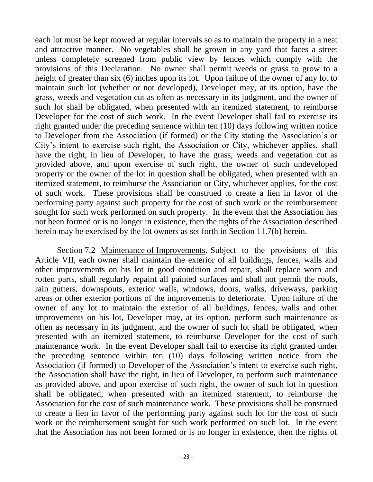each lot must be kept mowed at regular intervals so as to maintain the property in a neat and attractive manner. No vegetables shall be grown in any yard that faces a street unless completely screened from public view by fences which comply with the provisions of this Declaration. No owner shall permit weeds or grass to grow to a height of greater than six (6) inches upon its lot. Upon failure of the owner of any lot to maintain such lot (whether or not developed), Developer may, at its option, have the grass, weeds and vegetation cut as often as necessary in its judgment, and the owner of such lot shall be obligated, when presented with an itemized statement, to reimburse Developer for the cost of such work. In the event Developer shall fail to exercise its right granted under the preceding sentence within ten (10) days following written notice to Developer from the Association (if formed) or the City stating the Association's or City's intent to exercise such right, the Association or City, whichever applies, shall have the right, in lieu of Developer, to have the grass, weeds and vegetation cut as provided above, and upon exercise of such right, the owner of such undeveloped property or the owner of the lot in question shall be obligated, when presented with an itemized statement, to reimburse the Association or City, whichever applies, for the cost of such work. These provisions shall be construed to create a lien in favor of the performing party against such property for the cost of such work or the reimbursement sought for such work performed on such property. In the event that the Association has not been formed or is no longer in existence, then the rights of the Association described herein may be exercised by the lot owners as set forth in Section 11.7(b) herein.

Section 7.2 Maintenance of Improvements. Subject to the provisions of this Article VII, each owner shall maintain the exterior of all buildings, fences, walls and other improvements on his lot in good condition and repair, shall replace worn and rotten parts, shall regularly repaint all painted surfaces and shall not permit the roofs, rain gutters, downspouts, exterior walls, windows, doors, walks, driveways, parking areas or other exterior portions of the improvements to deteriorate. Upon failure of the owner of any lot to maintain the exterior of all buildings, fences, walls and other improvements on his lot, Developer may, at its option, perform such maintenance as often as necessary in its judgment, and the owner of such lot shall be obligated, when presented with an itemized statement, to reimburse Developer for the cost of such maintenance work. In the event Developer shall fail to exercise its right granted under the preceding sentence within ten (10) days following written notice from the Association (if formed) to Developer of the Association's intent to exercise such right, the Association shall have the right, in lieu of Developer, to perform such maintenance as provided above, and upon exercise of such right, the owner of such lot in question shall be obligated, when presented with an itemized statement, to reimburse the Association for the cost of such maintenance work. These provisions shall be construed to create a lien in favor of the performing party against such lot for the cost of such work or the reimbursement sought for such work performed on such lot. In the event that the Association has not been formed or is no longer in existence, then the rights of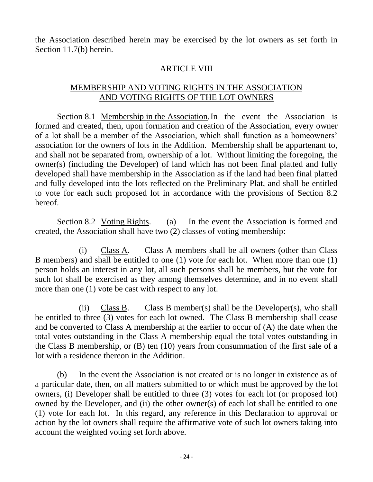the Association described herein may be exercised by the lot owners as set forth in Section 11.7(b) herein.

### **ARTICLE VIII**

# MEMBERSHIP AND VOTING RIGHTS IN THE ASSOCIATION AND VOTING RIGHTS OF THE LOT OWNERS

Section 8.1 Membership in the Association.In the event the Association is formed and created, then, upon formation and creation of the Association, every owner of a lot shall be a member of the Association, which shall function as a homeowners' association for the owners of lots in the Addition. Membership shall be appurtenant to, and shall not be separated from, ownership of a lot. Without limiting the foregoing, the owner(s) (including the Developer) of land which has not been final platted and fully developed shall have membership in the Association as if the land had been final platted and fully developed into the lots reflected on the Preliminary Plat, and shall be entitled to vote for each such proposed lot in accordance with the provisions of Section 8.2 hereof.

Section 8.2 Voting Rights. (a) In the event the Association is formed and created, the Association shall have two (2) classes of voting membership:

(i) Class A. Class A members shall be all owners (other than Class B members) and shall be entitled to one (1) vote for each lot. When more than one (1) person holds an interest in any lot, all such persons shall be members, but the vote for such lot shall be exercised as they among themselves determine, and in no event shall more than one (1) vote be cast with respect to any lot.

(ii) Class B. Class B member(s) shall be the Developer(s), who shall be entitled to three (3) votes for each lot owned. The Class B membership shall cease and be converted to Class A membership at the earlier to occur of (A) the date when the total votes outstanding in the Class A membership equal the total votes outstanding in the Class B membership, or (B) ten (10) years from consummation of the first sale of a lot with a residence thereon in the Addition.

(b) In the event the Association is not created or is no longer in existence as of a particular date, then, on all matters submitted to or which must be approved by the lot owners, (i) Developer shall be entitled to three (3) votes for each lot (or proposed lot) owned by the Developer, and (ii) the other owner(s) of each lot shall be entitled to one (1) vote for each lot. In this regard, any reference in this Declaration to approval or action by the lot owners shall require the affirmative vote of such lot owners taking into account the weighted voting set forth above.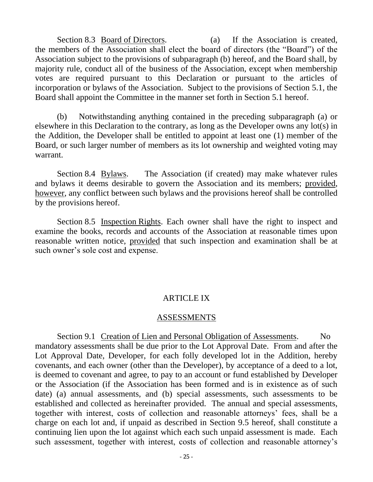Section 8.3 Board of Directors. (a) If the Association is created, the members of the Association shall elect the board of directors (the "Board") of the Association subject to the provisions of subparagraph (b) hereof, and the Board shall, by majority rule, conduct all of the business of the Association, except when membership votes are required pursuant to this Declaration or pursuant to the articles of incorporation or bylaws of the Association. Subject to the provisions of Section 5.1, the Board shall appoint the Committee in the manner set forth in Section 5.1 hereof.

(b) Notwithstanding anything contained in the preceding subparagraph (a) or elsewhere in this Declaration to the contrary, as long as the Developer owns any lot(s) in the Addition, the Developer shall be entitled to appoint at least one (1) member of the Board, or such larger number of members as its lot ownership and weighted voting may warrant.

Section 8.4 Bylaws. The Association (if created) may make whatever rules and bylaws it deems desirable to govern the Association and its members; provided, however, any conflict between such bylaws and the provisions hereof shall be controlled by the provisions hereof.

Section 8.5 Inspection Rights. Each owner shall have the right to inspect and examine the books, records and accounts of the Association at reasonable times upon reasonable written notice, provided that such inspection and examination shall be at such owner's sole cost and expense.

#### ARTICLE IX

#### ASSESSMENTS

Section 9.1 Creation of Lien and Personal Obligation of Assessments. No mandatory assessments shall be due prior to the Lot Approval Date. From and after the Lot Approval Date, Developer, for each folly developed lot in the Addition, hereby covenants, and each owner (other than the Developer), by acceptance of a deed to a lot, is deemed to covenant and agree, to pay to an account or fund established by Developer or the Association (if the Association has been formed and is in existence as of such date) (a) annual assessments, and (b) special assessments, such assessments to be established and collected as hereinafter provided. The annual and special assessments, together with interest, costs of collection and reasonable attorneys' fees, shall be a charge on each lot and, if unpaid as described in Section 9.5 hereof, shall constitute a continuing lien upon the lot against which each such unpaid assessment is made. Each such assessment, together with interest, costs of collection and reasonable attorney's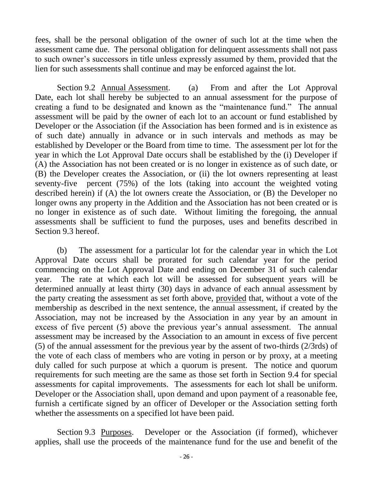fees, shall be the personal obligation of the owner of such lot at the time when the assessment came due. The personal obligation for delinquent assessments shall not pass to such owner's successors in title unless expressly assumed by them, provided that the lien for such assessments shall continue and may be enforced against the lot.

Section 9.2 Annual Assessment. (a) From and after the Lot Approval Date, each lot shall hereby be subjected to an annual assessment for the purpose of creating a fund to be designated and known as the "maintenance fund." The annual assessment will be paid by the owner of each lot to an account or fund established by Developer or the Association (if the Association has been formed and is in existence as of such date) annually in advance or in such intervals and methods as may be established by Developer or the Board from time to time. The assessment per lot for the year in which the Lot Approval Date occurs shall be established by the (i) Developer if (A) the Association has not been created or is no longer in existence as of such date, or (B) the Developer creates the Association, or (ii) the lot owners representing at least seventy-five percent (75%) of the lots (taking into account the weighted voting described herein) if (A) the lot owners create the Association, or (B) the Developer no longer owns any property in the Addition and the Association has not been created or is no longer in existence as of such date. Without limiting the foregoing, the annual assessments shall be sufficient to fund the purposes, uses and benefits described in Section 9.3 hereof.

(b) The assessment for a particular lot for the calendar year in which the Lot Approval Date occurs shall be prorated for such calendar year for the period commencing on the Lot Approval Date and ending on December 31 of such calendar year. The rate at which each lot will be assessed for subsequent years will be determined annually at least thirty (30) days in advance of each annual assessment by the party creating the assessment as set forth above, provided that, without a vote of the membership as described in the next sentence, the annual assessment, if created by the Association, may not be increased by the Association in any year by an amount in excess of five percent (5) above the previous year's annual assessment. The annual assessment may be increased by the Association to an amount in excess of five percent (5) of the annual assessment for the previous year by the assent of two-thirds (2/3rds) of the vote of each class of members who are voting in person or by proxy, at a meeting duly called for such purpose at which a quorum is present. The notice and quorum requirements for such meeting are the same as those set forth in Section 9.4 for special assessments for capital improvements. The assessments for each lot shall be uniform. Developer or the Association shall, upon demand and upon payment of a reasonable fee, furnish a certificate signed by an officer of Developer or the Association setting forth whether the assessments on a specified lot have been paid.

Section 9.3 Purposes. Developer or the Association (if formed), whichever applies, shall use the proceeds of the maintenance fund for the use and benefit of the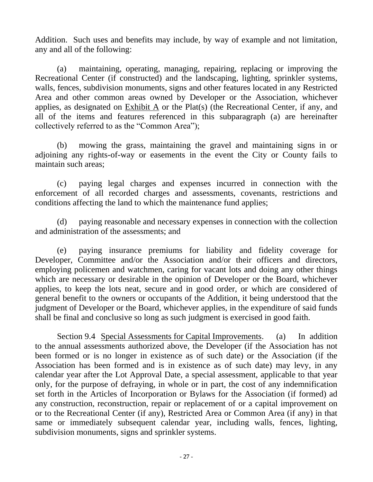Addition. Such uses and benefits may include, by way of example and not limitation, any and all of the following:

(a) maintaining, operating, managing, repairing, replacing or improving the Recreational Center (if constructed) and the landscaping, lighting, sprinkler systems, walls, fences, subdivision monuments, signs and other features located in any Restricted Area and other common areas owned by Developer or the Association, whichever applies, as designated on Exhibit A or the Plat(s) (the Recreational Center, if any, and all of the items and features referenced in this subparagraph (a) are hereinafter collectively referred to as the "Common Area");

(b) mowing the grass, maintaining the gravel and maintaining signs in or adjoining any rights-of-way or easements in the event the City or County fails to maintain such areas;

(c) paying legal charges and expenses incurred in connection with the enforcement of all recorded charges and assessments, covenants, restrictions and conditions affecting the land to which the maintenance fund applies;

(d) paying reasonable and necessary expenses in connection with the collection and administration of the assessments; and

(e) paying insurance premiums for liability and fidelity coverage for Developer, Committee and/or the Association and/or their officers and directors, employing policemen and watchmen, caring for vacant lots and doing any other things which are necessary or desirable in the opinion of Developer or the Board, whichever applies, to keep the lots neat, secure and in good order, or which are considered of general benefit to the owners or occupants of the Addition, it being understood that the judgment of Developer or the Board, whichever applies, in the expenditure of said funds shall be final and conclusive so long as such judgment is exercised in good faith.

Section 9.4 Special Assessments for Capital Improvements. (a) In addition to the annual assessments authorized above, the Developer (if the Association has not been formed or is no longer in existence as of such date) or the Association (if the Association has been formed and is in existence as of such date) may levy, in any calendar year after the Lot Approval Date, a special assessment, applicable to that year only, for the purpose of defraying, in whole or in part, the cost of any indemnification set forth in the Articles of Incorporation or Bylaws for the Association (if formed) ad any construction, reconstruction, repair or replacement of or a capital improvement on or to the Recreational Center (if any), Restricted Area or Common Area (if any) in that same or immediately subsequent calendar year, including walls, fences, lighting, subdivision monuments, signs and sprinkler systems.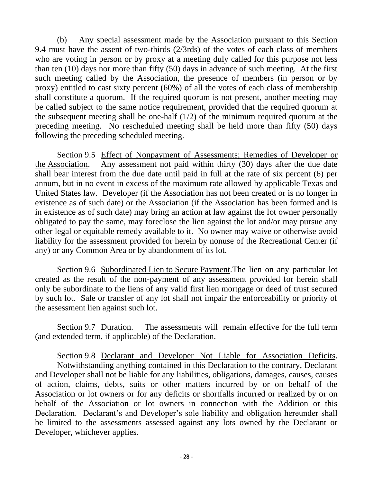(b) Any special assessment made by the Association pursuant to this Section 9.4 must have the assent of two-thirds (2/3rds) of the votes of each class of members who are voting in person or by proxy at a meeting duly called for this purpose not less than ten (10) days nor more than fifty (50) days in advance of such meeting. At the first such meeting called by the Association, the presence of members (in person or by proxy) entitled to cast sixty percent (60%) of all the votes of each class of membership shall constitute a quorum. If the required quorum is not present, another meeting may be called subject to the same notice requirement, provided that the required quorum at the subsequent meeting shall be one-half (1/2) of the minimum required quorum at the preceding meeting. No rescheduled meeting shall be held more than fifty (50) days following the preceding scheduled meeting.

Section 9.5 Effect of Nonpayment of Assessments; Remedies of Developer or the Association. Any assessment not paid within thirty (30) days after the due date shall bear interest from the due date until paid in full at the rate of six percent (6) per annum, but in no event in excess of the maximum rate allowed by applicable Texas and United States law. Developer (if the Association has not been created or is no longer in existence as of such date) or the Association (if the Association has been formed and is in existence as of such date) may bring an action at law against the lot owner personally obligated to pay the same, may foreclose the lien against the lot and/or may pursue any other legal or equitable remedy available to it. No owner may waive or otherwise avoid liability for the assessment provided for herein by nonuse of the Recreational Center (if any) or any Common Area or by abandonment of its lot.

Section 9.6 Subordinated Lien to Secure Payment. The lien on any particular lot created as the result of the non-payment of any assessment provided for herein shall only be subordinate to the liens of any valid first lien mortgage or deed of trust secured by such lot. Sale or transfer of any lot shall not impair the enforceability or priority of the assessment lien against such lot.

Section 9.7 Duration. The assessments will remain effective for the full term (and extended term, if applicable) of the Declaration.

Section 9.8 Declarant and Developer Not Liable for Association Deficits. Notwithstanding anything contained in this Declaration to the contrary, Declarant and Developer shall not be liable for any liabilities, obligations, damages, causes, causes of action, claims, debts, suits or other matters incurred by or on behalf of the Association or lot owners or for any deficits or shortfalls incurred or realized by or on behalf of the Association or lot owners in connection with the Addition or this Declaration. Declarant's and Developer's sole liability and obligation hereunder shall be limited to the assessments assessed against any lots owned by the Declarant or Developer, whichever applies.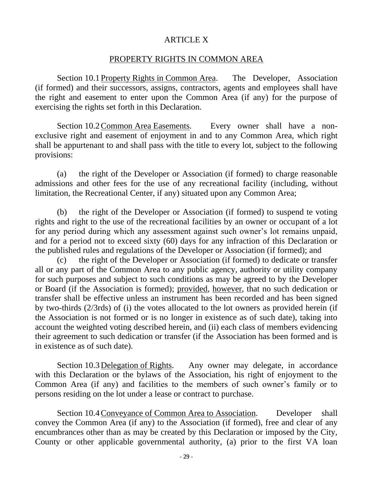### ARTICLE X

#### PROPERTY RIGHTS IN COMMON AREA

Section 10.1 Property Rights in Common Area. The Developer, Association (if formed) and their successors, assigns, contractors, agents and employees shall have the right and easement to enter upon the Common Area (if any) for the purpose of exercising the rights set forth in this Declaration.

Section 10.2Common Area Easements. Every owner shall have a nonexclusive right and easement of enjoyment in and to any Common Area, which right shall be appurtenant to and shall pass with the title to every lot, subject to the following provisions:

(a) the right of the Developer or Association (if formed) to charge reasonable admissions and other fees for the use of any recreational facility (including, without limitation, the Recreational Center, if any) situated upon any Common Area;

(b) the right of the Developer or Association (if formed) to suspend te voting rights and right to the use of the recreational facilities by an owner or occupant of a lot for any period during which any assessment against such owner's lot remains unpaid, and for a period not to exceed sixty (60) days for any infraction of this Declaration or the published rules and regulations of the Developer or Association (if formed); and

(c) the right of the Developer or Association (if formed) to dedicate or transfer all or any part of the Common Area to any public agency, authority or utility company for such purposes and subject to such conditions as may be agreed to by the Developer or Board (if the Association is formed); provided, however, that no such dedication or transfer shall be effective unless an instrument has been recorded and has been signed by two-thirds (2/3rds) of (i) the votes allocated to the lot owners as provided herein (if the Association is not formed or is no longer in existence as of such date), taking into account the weighted voting described herein, and (ii) each class of members evidencing their agreement to such dedication or transfer (if the Association has been formed and is in existence as of such date).

Section 10.3 Delegation of Rights. Any owner may delegate, in accordance with this Declaration or the bylaws of the Association, his right of enjoyment to the Common Area (if any) and facilities to the members of such owner's family or to persons residing on the lot under a lease or contract to purchase.

Section 10.4 Conveyance of Common Area to Association. Developer shall convey the Common Area (if any) to the Association (if formed), free and clear of any encumbrances other than as may be created by this Declaration or imposed by the City, County or other applicable governmental authority, (a) prior to the first VA loan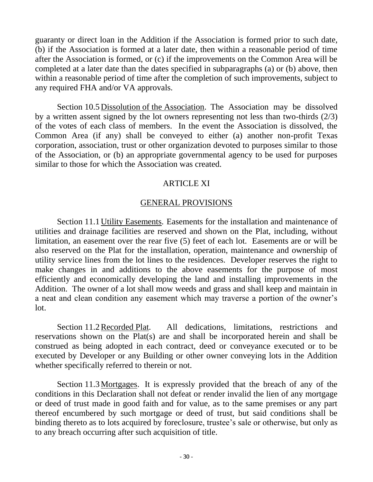guaranty or direct loan in the Addition if the Association is formed prior to such date, (b) if the Association is formed at a later date, then within a reasonable period of time after the Association is formed, or (c) if the improvements on the Common Area will be completed at a later date than the dates specified in subparagraphs (a) or (b) above, then within a reasonable period of time after the completion of such improvements, subject to any required FHA and/or VA approvals.

Section 10.5 Dissolution of the Association. The Association may be dissolved by a written assent signed by the lot owners representing not less than two-thirds (2/3) of the votes of each class of members. In the event the Association is dissolved, the Common Area (if any) shall be conveyed to either (a) another non-profit Texas corporation, association, trust or other organization devoted to purposes similar to those of the Association, or (b) an appropriate governmental agency to be used for purposes similar to those for which the Association was created.

# ARTICLE XI

# GENERAL PROVISIONS

Section 11.1 Utility Easements. Easements for the installation and maintenance of utilities and drainage facilities are reserved and shown on the Plat, including, without limitation, an easement over the rear five (5) feet of each lot. Easements are or will be also reserved on the Plat for the installation, operation, maintenance and ownership of utility service lines from the lot lines to the residences. Developer reserves the right to make changes in and additions to the above easements for the purpose of most efficiently and economically developing the land and installing improvements in the Addition. The owner of a lot shall mow weeds and grass and shall keep and maintain in a neat and clean condition any easement which may traverse a portion of the owner's lot.

Section 11.2Recorded Plat. All dedications, limitations, restrictions and reservations shown on the Plat(s) are and shall be incorporated herein and shall be construed as being adopted in each contract, deed or conveyance executed or to be executed by Developer or any Building or other owner conveying lots in the Addition whether specifically referred to therein or not.

Section 11.3Mortgages. It is expressly provided that the breach of any of the conditions in this Declaration shall not defeat or render invalid the lien of any mortgage or deed of trust made in good faith and for value, as to the same premises or any part thereof encumbered by such mortgage or deed of trust, but said conditions shall be binding thereto as to lots acquired by foreclosure, trustee's sale or otherwise, but only as to any breach occurring after such acquisition of title.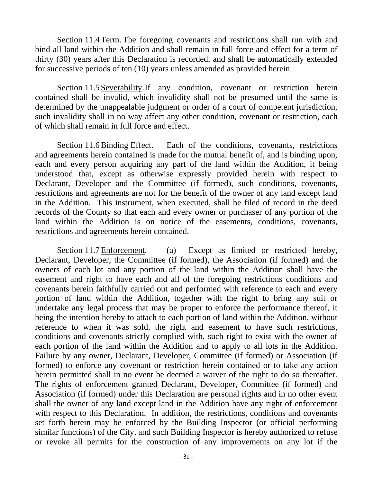Section 11.4Term. The foregoing covenants and restrictions shall run with and bind all land within the Addition and shall remain in full force and effect for a term of thirty (30) years after this Declaration is recorded, and shall be automatically extended for successive periods of ten (10) years unless amended as provided herein.

Section 11.5 Severability.If any condition, covenant or restriction herein contained shall be invalid, which invalidity shall not be presumed until the same is determined by the unappealable judgment or order of a court of competent jurisdiction, such invalidity shall in no way affect any other condition, covenant or restriction, each of which shall remain in full force and effect.

Section 11.6Binding Effect. Each of the conditions, covenants, restrictions and agreements herein contained is made for the mutual benefit of, and is binding upon, each and every person acquiring any part of the land within the Addition, it being understood that, except as otherwise expressly provided herein with respect to Declarant, Developer and the Committee (if formed), such conditions, covenants, restrictions and agreements are not for the benefit of the owner of any land except land in the Addition. This instrument, when executed, shall be filed of record in the deed records of the County so that each and every owner or purchaser of any portion of the land within the Addition is on notice of the easements, conditions, covenants, restrictions and agreements herein contained.

Section 11.7 Enforcement. (a) Except as limited or restricted hereby, Declarant, Developer, the Committee (if formed), the Association (if formed) and the owners of each lot and any portion of the land within the Addition shall have the easement and right to have each and all of the foregoing restrictions conditions and covenants herein faithfully carried out and performed with reference to each and every portion of land within the Addition, together with the right to bring any suit or undertake any legal process that may be proper to enforce the performance thereof, it being the intention hereby to attach to each portion of land within the Addition, without reference to when it was sold, the right and easement to have such restrictions, conditions and covenants strictly complied with, such right to exist with the owner of each portion of the land within the Addition and to apply to all lots in the Addition. Failure by any owner, Declarant, Developer, Committee (if formed) or Association (if formed) to enforce any covenant or restriction herein contained or to take any action herein permitted shall in no event be deemed a waiver of the right to do so thereafter. The rights of enforcement granted Declarant, Developer, Committee (if formed) and Association (if formed) under this Declaration are personal rights and in no other event shall the owner of any land except land in the Addition have any right of enforcement with respect to this Declaration. In addition, the restrictions, conditions and covenants set forth herein may be enforced by the Building Inspector (or official performing similar functions) of the City, and such Building Inspector is hereby authorized to refuse or revoke all permits for the construction of any improvements on any lot if the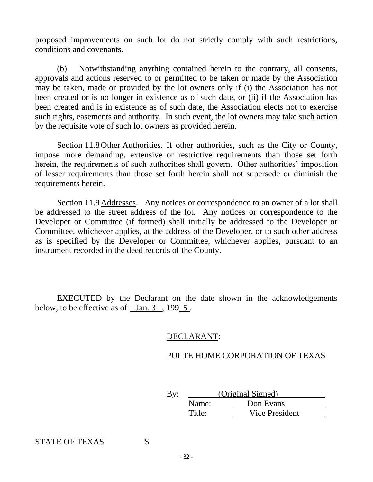proposed improvements on such lot do not strictly comply with such restrictions, conditions and covenants.

(b) Notwithstanding anything contained herein to the contrary, all consents, approvals and actions reserved to or permitted to be taken or made by the Association may be taken, made or provided by the lot owners only if (i) the Association has not been created or is no longer in existence as of such date, or (ii) if the Association has been created and is in existence as of such date, the Association elects not to exercise such rights, easements and authority. In such event, the lot owners may take such action by the requisite vote of such lot owners as provided herein.

Section 11.8 Other Authorities. If other authorities, such as the City or County, impose more demanding, extensive or restrictive requirements than those set forth herein, the requirements of such authorities shall govern. Other authorities' imposition of lesser requirements than those set forth herein shall not supersede or diminish the requirements herein.

Section 11.9 Addresses. Any notices or correspondence to an owner of a lot shall be addressed to the street address of the lot. Any notices or correspondence to the Developer or Committee (if formed) shall initially be addressed to the Developer or Committee, whichever applies, at the address of the Developer, or to such other address as is specified by the Developer or Committee, whichever applies, pursuant to an instrument recorded in the deed records of the County.

EXECUTED by the Declarant on the date shown in the acknowledgements below, to be effective as of Jan. 3, 199 5.

### DECLARANT:

### PULTE HOME CORPORATION OF TEXAS

By: (Original Signed) Name: Don Evans Title: Vice President

STATE OF TEXAS \$